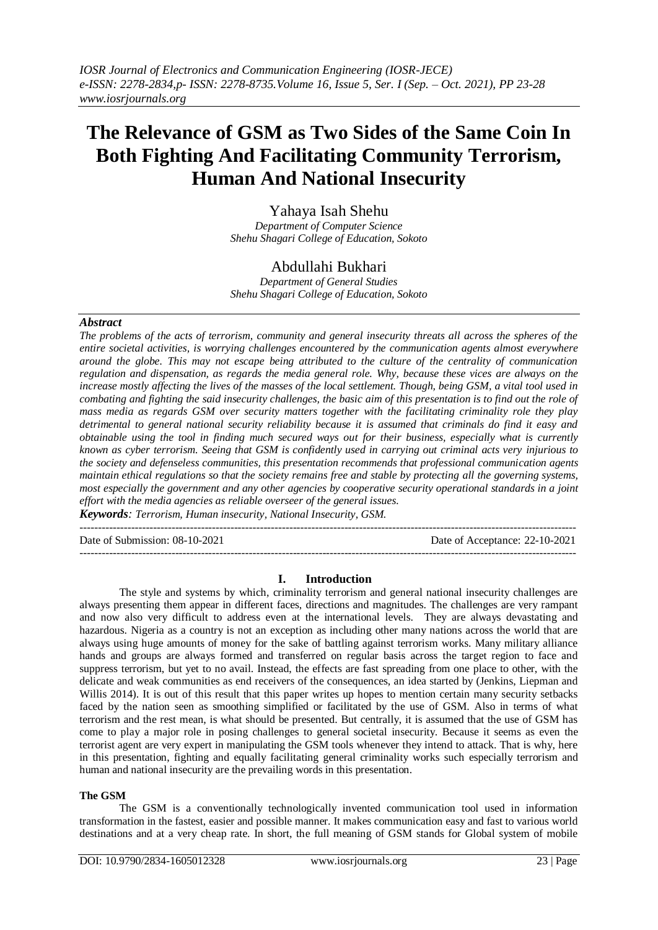# **The Relevance of GSM as Two Sides of the Same Coin In Both Fighting And Facilitating Community Terrorism, Human And National Insecurity**

Yahaya Isah Shehu *Department of Computer Science Shehu Shagari College of Education, Sokoto*

## Abdullahi Bukhari

*Department of General Studies Shehu Shagari College of Education, Sokoto*

## *Abstract*

*The problems of the acts of terrorism, community and general insecurity threats all across the spheres of the entire societal activities, is worrying challenges encountered by the communication agents almost everywhere around the globe. This may not escape being attributed to the culture of the centrality of communication regulation and dispensation, as regards the media general role. Why, because these vices are always on the increase mostly affecting the lives of the masses of the local settlement. Though, being GSM, a vital tool used in combating and fighting the said insecurity challenges, the basic aim of this presentation is to find out the role of mass media as regards GSM over security matters together with the facilitating criminality role they play detrimental to general national security reliability because it is assumed that criminals do find it easy and obtainable using the tool in finding much secured ways out for their business, especially what is currently known as cyber terrorism. Seeing that GSM is confidently used in carrying out criminal acts very injurious to the society and defenseless communities, this presentation recommends that professional communication agents maintain ethical regulations so that the society remains free and stable by protecting all the governing systems, most especially the government and any other agencies by cooperative security operational standards in a joint effort with the media agencies as reliable overseer of the general issues.* 

*Keywords: Terrorism, Human insecurity, National Insecurity, GSM.* 

--------------------------------------------------------------------------------------------------------------------------------------- Date of Submission: 08-10-2021 Date of Acceptance: 22-10-2021

---------------------------------------------------------------------------------------------------------------------------------------

## **I. Introduction**

The style and systems by which, criminality terrorism and general national insecurity challenges are always presenting them appear in different faces, directions and magnitudes. The challenges are very rampant and now also very difficult to address even at the international levels. They are always devastating and hazardous. Nigeria as a country is not an exception as including other many nations across the world that are always using huge amounts of money for the sake of battling against terrorism works. Many military alliance hands and groups are always formed and transferred on regular basis across the target region to face and suppress terrorism, but yet to no avail. Instead, the effects are fast spreading from one place to other, with the delicate and weak communities as end receivers of the consequences, an idea started by (Jenkins, Liepman and Willis 2014). It is out of this result that this paper writes up hopes to mention certain many security setbacks faced by the nation seen as smoothing simplified or facilitated by the use of GSM. Also in terms of what terrorism and the rest mean, is what should be presented. But centrally, it is assumed that the use of GSM has come to play a major role in posing challenges to general societal insecurity. Because it seems as even the terrorist agent are very expert in manipulating the GSM tools whenever they intend to attack. That is why, here in this presentation, fighting and equally facilitating general criminality works such especially terrorism and human and national insecurity are the prevailing words in this presentation.

## **The GSM**

The GSM is a conventionally technologically invented communication tool used in information transformation in the fastest, easier and possible manner. It makes communication easy and fast to various world destinations and at a very cheap rate. In short, the full meaning of GSM stands for Global system of mobile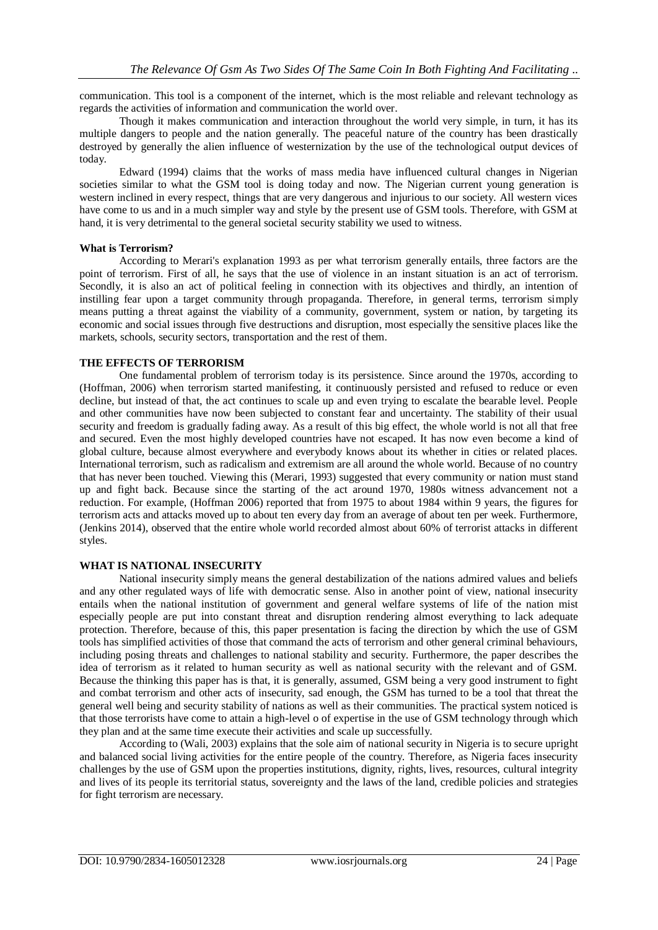communication. This tool is a component of the internet, which is the most reliable and relevant technology as regards the activities of information and communication the world over.

Though it makes communication and interaction throughout the world very simple, in turn, it has its multiple dangers to people and the nation generally. The peaceful nature of the country has been drastically destroyed by generally the alien influence of westernization by the use of the technological output devices of today.

Edward (1994) claims that the works of mass media have influenced cultural changes in Nigerian societies similar to what the GSM tool is doing today and now. The Nigerian current young generation is western inclined in every respect, things that are very dangerous and injurious to our society. All western vices have come to us and in a much simpler way and style by the present use of GSM tools. Therefore, with GSM at hand, it is very detrimental to the general societal security stability we used to witness.

#### **What is Terrorism?**

According to Merari's explanation 1993 as per what terrorism generally entails, three factors are the point of terrorism. First of all, he says that the use of violence in an instant situation is an act of terrorism. Secondly, it is also an act of political feeling in connection with its objectives and thirdly, an intention of instilling fear upon a target community through propaganda. Therefore, in general terms, terrorism simply means putting a threat against the viability of a community, government, system or nation, by targeting its economic and social issues through five destructions and disruption, most especially the sensitive places like the markets, schools, security sectors, transportation and the rest of them.

#### **THE EFFECTS OF TERRORISM**

One fundamental problem of terrorism today is its persistence. Since around the 1970s, according to (Hoffman, 2006) when terrorism started manifesting, it continuously persisted and refused to reduce or even decline, but instead of that, the act continues to scale up and even trying to escalate the bearable level. People and other communities have now been subjected to constant fear and uncertainty. The stability of their usual security and freedom is gradually fading away. As a result of this big effect, the whole world is not all that free and secured. Even the most highly developed countries have not escaped. It has now even become a kind of global culture, because almost everywhere and everybody knows about its whether in cities or related places. International terrorism, such as radicalism and extremism are all around the whole world. Because of no country that has never been touched. Viewing this (Merari, 1993) suggested that every community or nation must stand up and fight back. Because since the starting of the act around 1970, 1980s witness advancement not a reduction. For example, (Hoffman 2006) reported that from 1975 to about 1984 within 9 years, the figures for terrorism acts and attacks moved up to about ten every day from an average of about ten per week. Furthermore, (Jenkins 2014), observed that the entire whole world recorded almost about 60% of terrorist attacks in different styles.

#### **WHAT IS NATIONAL INSECURITY**

National insecurity simply means the general destabilization of the nations admired values and beliefs and any other regulated ways of life with democratic sense. Also in another point of view, national insecurity entails when the national institution of government and general welfare systems of life of the nation mist especially people are put into constant threat and disruption rendering almost everything to lack adequate protection. Therefore, because of this, this paper presentation is facing the direction by which the use of GSM tools has simplified activities of those that command the acts of terrorism and other general criminal behaviours, including posing threats and challenges to national stability and security. Furthermore, the paper describes the idea of terrorism as it related to human security as well as national security with the relevant and of GSM. Because the thinking this paper has is that, it is generally, assumed, GSM being a very good instrument to fight and combat terrorism and other acts of insecurity, sad enough, the GSM has turned to be a tool that threat the general well being and security stability of nations as well as their communities. The practical system noticed is that those terrorists have come to attain a high-level o of expertise in the use of GSM technology through which they plan and at the same time execute their activities and scale up successfully.

According to (Wali, 2003) explains that the sole aim of national security in Nigeria is to secure upright and balanced social living activities for the entire people of the country. Therefore, as Nigeria faces insecurity challenges by the use of GSM upon the properties institutions, dignity, rights, lives, resources, cultural integrity and lives of its people its territorial status, sovereignty and the laws of the land, credible policies and strategies for fight terrorism are necessary.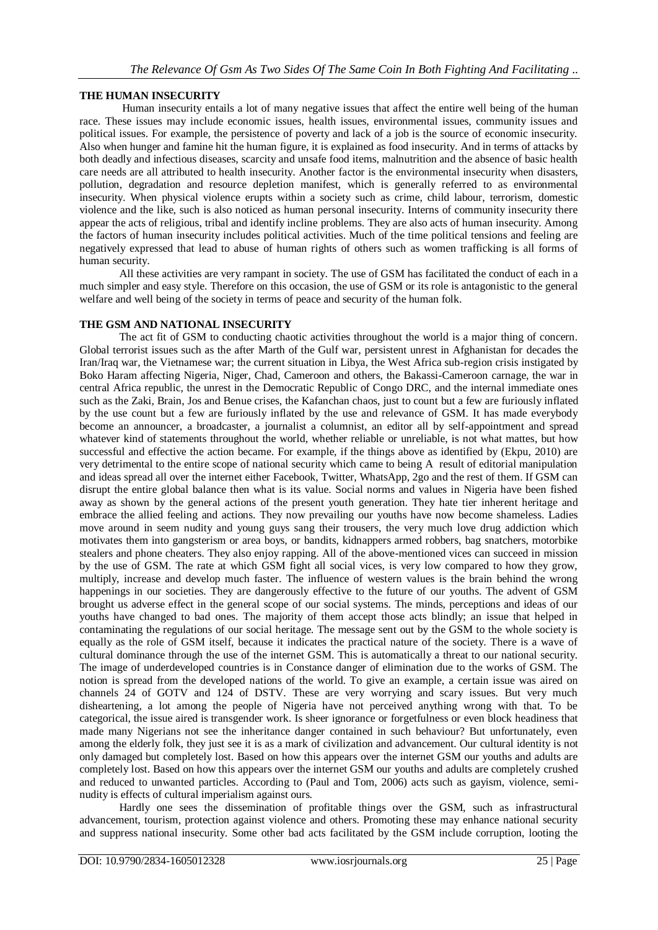## **THE HUMAN INSECURITY**

Human insecurity entails a lot of many negative issues that affect the entire well being of the human race. These issues may include economic issues, health issues, environmental issues, community issues and political issues. For example, the persistence of poverty and lack of a job is the source of economic insecurity. Also when hunger and famine hit the human figure, it is explained as food insecurity. And in terms of attacks by both deadly and infectious diseases, scarcity and unsafe food items, malnutrition and the absence of basic health care needs are all attributed to health insecurity. Another factor is the environmental insecurity when disasters, pollution, degradation and resource depletion manifest, which is generally referred to as environmental insecurity. When physical violence erupts within a society such as crime, child labour, terrorism, domestic violence and the like, such is also noticed as human personal insecurity. Interns of community insecurity there appear the acts of religious, tribal and identify incline problems. They are also acts of human insecurity. Among the factors of human insecurity includes political activities. Much of the time political tensions and feeling are negatively expressed that lead to abuse of human rights of others such as women trafficking is all forms of human security.

All these activities are very rampant in society. The use of GSM has facilitated the conduct of each in a much simpler and easy style. Therefore on this occasion, the use of GSM or its role is antagonistic to the general welfare and well being of the society in terms of peace and security of the human folk.

#### **THE GSM AND NATIONAL INSECURITY**

The act fit of GSM to conducting chaotic activities throughout the world is a major thing of concern. Global terrorist issues such as the after Marth of the Gulf war, persistent unrest in Afghanistan for decades the Iran/Iraq war, the Vietnamese war; the current situation in Libya, the West Africa sub-region crisis instigated by Boko Haram affecting Nigeria, Niger, Chad, Cameroon and others, the Bakassi-Cameroon carnage, the war in central Africa republic, the unrest in the Democratic Republic of Congo DRC, and the internal immediate ones such as the Zaki, Brain, Jos and Benue crises, the Kafanchan chaos, just to count but a few are furiously inflated by the use count but a few are furiously inflated by the use and relevance of GSM. It has made everybody become an announcer, a broadcaster, a journalist a columnist, an editor all by self-appointment and spread whatever kind of statements throughout the world, whether reliable or unreliable, is not what mattes, but how successful and effective the action became. For example, if the things above as identified by (Ekpu, 2010) are very detrimental to the entire scope of national security which came to being A result of editorial manipulation and ideas spread all over the internet either Facebook, Twitter, WhatsApp, 2go and the rest of them. If GSM can disrupt the entire global balance then what is its value. Social norms and values in Nigeria have been fished away as shown by the general actions of the present youth generation. They hate tier inherent heritage and embrace the allied feeling and actions. They now prevailing our youths have now become shameless. Ladies move around in seem nudity and young guys sang their trousers, the very much love drug addiction which motivates them into gangsterism or area boys, or bandits, kidnappers armed robbers, bag snatchers, motorbike stealers and phone cheaters. They also enjoy rapping. All of the above-mentioned vices can succeed in mission by the use of GSM. The rate at which GSM fight all social vices, is very low compared to how they grow, multiply, increase and develop much faster. The influence of western values is the brain behind the wrong happenings in our societies. They are dangerously effective to the future of our youths. The advent of GSM brought us adverse effect in the general scope of our social systems. The minds, perceptions and ideas of our youths have changed to bad ones. The majority of them accept those acts blindly; an issue that helped in contaminating the regulations of our social heritage. The message sent out by the GSM to the whole society is equally as the role of GSM itself, because it indicates the practical nature of the society. There is a wave of cultural dominance through the use of the internet GSM. This is automatically a threat to our national security. The image of underdeveloped countries is in Constance danger of elimination due to the works of GSM. The notion is spread from the developed nations of the world. To give an example, a certain issue was aired on channels 24 of GOTV and 124 of DSTV. These are very worrying and scary issues. But very much disheartening, a lot among the people of Nigeria have not perceived anything wrong with that. To be categorical, the issue aired is transgender work. Is sheer ignorance or forgetfulness or even block headiness that made many Nigerians not see the inheritance danger contained in such behaviour? But unfortunately, even among the elderly folk, they just see it is as a mark of civilization and advancement. Our cultural identity is not only damaged but completely lost. Based on how this appears over the internet GSM our youths and adults are completely lost. Based on how this appears over the internet GSM our youths and adults are completely crushed and reduced to unwanted particles. According to (Paul and Tom, 2006) acts such as gayism, violence, seminudity is effects of cultural imperialism against ours.

Hardly one sees the dissemination of profitable things over the GSM, such as infrastructural advancement, tourism, protection against violence and others. Promoting these may enhance national security and suppress national insecurity. Some other bad acts facilitated by the GSM include corruption, looting the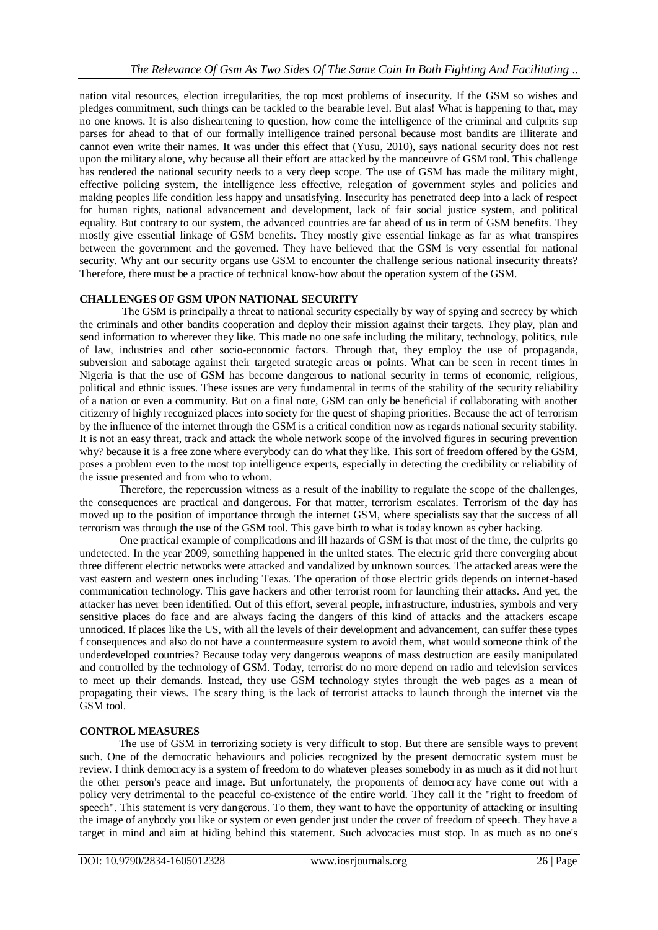nation vital resources, election irregularities, the top most problems of insecurity. If the GSM so wishes and pledges commitment, such things can be tackled to the bearable level. But alas! What is happening to that, may no one knows. It is also disheartening to question, how come the intelligence of the criminal and culprits sup parses for ahead to that of our formally intelligence trained personal because most bandits are illiterate and cannot even write their names. It was under this effect that (Yusu, 2010), says national security does not rest upon the military alone, why because all their effort are attacked by the manoeuvre of GSM tool. This challenge has rendered the national security needs to a very deep scope. The use of GSM has made the military might, effective policing system, the intelligence less effective, relegation of government styles and policies and making peoples life condition less happy and unsatisfying. Insecurity has penetrated deep into a lack of respect for human rights, national advancement and development, lack of fair social justice system, and political equality. But contrary to our system, the advanced countries are far ahead of us in term of GSM benefits. They mostly give essential linkage of GSM benefits. They mostly give essential linkage as far as what transpires between the government and the governed. They have believed that the GSM is very essential for national security. Why ant our security organs use GSM to encounter the challenge serious national insecurity threats? Therefore, there must be a practice of technical know-how about the operation system of the GSM.

## **CHALLENGES OF GSM UPON NATIONAL SECURITY**

The GSM is principally a threat to national security especially by way of spying and secrecy by which the criminals and other bandits cooperation and deploy their mission against their targets. They play, plan and send information to wherever they like. This made no one safe including the military, technology, politics, rule of law, industries and other socio-economic factors. Through that, they employ the use of propaganda, subversion and sabotage against their targeted strategic areas or points. What can be seen in recent times in Nigeria is that the use of GSM has become dangerous to national security in terms of economic, religious, political and ethnic issues. These issues are very fundamental in terms of the stability of the security reliability of a nation or even a community. But on a final note, GSM can only be beneficial if collaborating with another citizenry of highly recognized places into society for the quest of shaping priorities. Because the act of terrorism by the influence of the internet through the GSM is a critical condition now as regards national security stability. It is not an easy threat, track and attack the whole network scope of the involved figures in securing prevention why? because it is a free zone where everybody can do what they like. This sort of freedom offered by the GSM, poses a problem even to the most top intelligence experts, especially in detecting the credibility or reliability of the issue presented and from who to whom.

Therefore, the repercussion witness as a result of the inability to regulate the scope of the challenges, the consequences are practical and dangerous. For that matter, terrorism escalates. Terrorism of the day has moved up to the position of importance through the internet GSM, where specialists say that the success of all terrorism was through the use of the GSM tool. This gave birth to what is today known as cyber hacking.

One practical example of complications and ill hazards of GSM is that most of the time, the culprits go undetected. In the year 2009, something happened in the united states. The electric grid there converging about three different electric networks were attacked and vandalized by unknown sources. The attacked areas were the vast eastern and western ones including Texas. The operation of those electric grids depends on internet-based communication technology. This gave hackers and other terrorist room for launching their attacks. And yet, the attacker has never been identified. Out of this effort, several people, infrastructure, industries, symbols and very sensitive places do face and are always facing the dangers of this kind of attacks and the attackers escape unnoticed. If places like the US, with all the levels of their development and advancement, can suffer these types f consequences and also do not have a countermeasure system to avoid them, what would someone think of the underdeveloped countries? Because today very dangerous weapons of mass destruction are easily manipulated and controlled by the technology of GSM. Today, terrorist do no more depend on radio and television services to meet up their demands. Instead, they use GSM technology styles through the web pages as a mean of propagating their views. The scary thing is the lack of terrorist attacks to launch through the internet via the GSM tool.

## **CONTROL MEASURES**

The use of GSM in terrorizing society is very difficult to stop. But there are sensible ways to prevent such. One of the democratic behaviours and policies recognized by the present democratic system must be review. I think democracy is a system of freedom to do whatever pleases somebody in as much as it did not hurt the other person's peace and image. But unfortunately, the proponents of democracy have come out with a policy very detrimental to the peaceful co-existence of the entire world. They call it the "right to freedom of speech". This statement is very dangerous. To them, they want to have the opportunity of attacking or insulting the image of anybody you like or system or even gender just under the cover of freedom of speech. They have a target in mind and aim at hiding behind this statement. Such advocacies must stop. In as much as no one's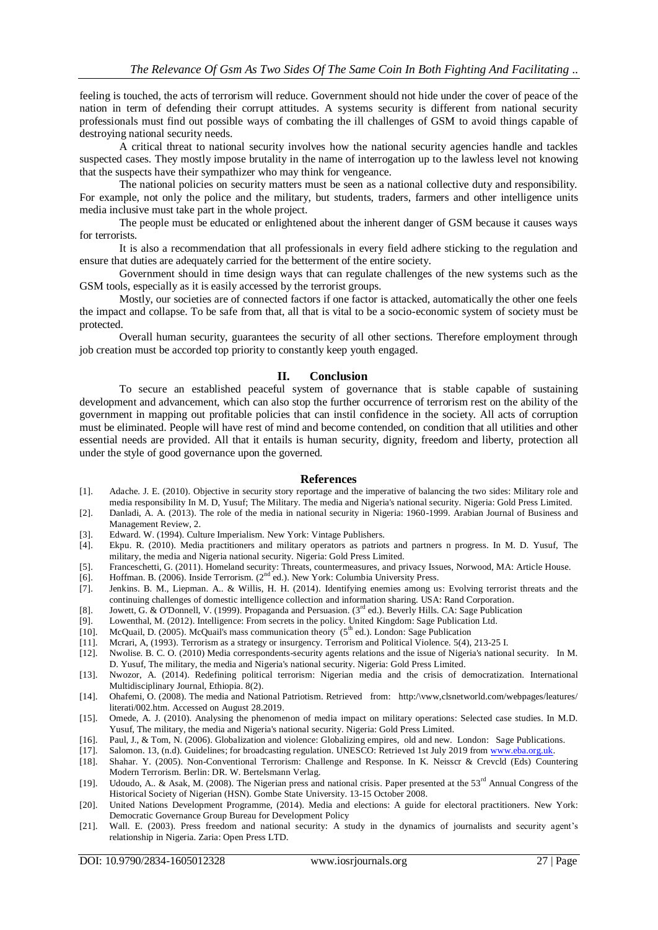feeling is touched, the acts of terrorism will reduce. Government should not hide under the cover of peace of the nation in term of defending their corrupt attitudes. A systems security is different from national security professionals must find out possible ways of combating the ill challenges of GSM to avoid things capable of destroying national security needs.

A critical threat to national security involves how the national security agencies handle and tackles suspected cases. They mostly impose brutality in the name of interrogation up to the lawless level not knowing that the suspects have their sympathizer who may think for vengeance.

The national policies on security matters must be seen as a national collective duty and responsibility. For example, not only the police and the military, but students, traders, farmers and other intelligence units media inclusive must take part in the whole project.

The people must be educated or enlightened about the inherent danger of GSM because it causes ways for terrorists.

It is also a recommendation that all professionals in every field adhere sticking to the regulation and ensure that duties are adequately carried for the betterment of the entire society.

Government should in time design ways that can regulate challenges of the new systems such as the GSM tools, especially as it is easily accessed by the terrorist groups.

Mostly, our societies are of connected factors if one factor is attacked, automatically the other one feels the impact and collapse. To be safe from that, all that is vital to be a socio-economic system of society must be protected.

Overall human security, guarantees the security of all other sections. Therefore employment through job creation must be accorded top priority to constantly keep youth engaged.

#### **II. Conclusion**

 To secure an established peaceful system of governance that is stable capable of sustaining development and advancement, which can also stop the further occurrence of terrorism rest on the ability of the government in mapping out profitable policies that can instil confidence in the society. All acts of corruption must be eliminated. People will have rest of mind and become contended, on condition that all utilities and other essential needs are provided. All that it entails is human security, dignity, freedom and liberty, protection all under the style of good governance upon the governed.

#### **References**

- [1]. Adache. J. E. (2010). Objective in security story reportage and the imperative of balancing the two sides: Military role and media responsibility In M. D, Yusuf; The Military. The media and Nigeria's national security. Nigeria: Gold Press Limited.
- [2]. Danladi, A. A. (2013). The role of the media in national security in Nigeria: 1960-1999. Arabian Journal of Business and Management Review, 2.
- [3]. Edward. W. (1994). Culture Imperialism. New York: Vintage Publishers.
- [4]. Ekpu. R. (2010). Media practitioners and military operators as patriots and partners n progress. In M. D. Yusuf, The military, the media and Nigeria national security. Nigeria: Gold Press Limited.
- [5]. Franceschetti, G. (2011). Homeland security: Threats, countermeasures, and privacy Issues, Norwood, MA: Article House. [6]. Hoffman. B. (2006). Inside Terrorism. (2<sup>nd</sup> ed.). New York: Columbia University Press.
- Hoffman. B. (2006). Inside Terrorism. (2<sup>nd</sup> ed.). New York: Columbia University Press.
- [7]. Jenkins. B. M., Liepman. A.. & Willis, H. H. (2014). Identifying enemies among us: Evolving terrorist threats and the continuing challenges of domestic intelligence collection and information sharing. USA: Rand Corporation.
- [8]. Jowett, G. & O'Donnell, V. (1999). Propaganda and Persuasion. (3<sup>rd</sup> ed.). Beverly Hills. CA: Sage Publication
- [9]. Lowenthal, M. (2012). Intelligence: From secrets in the policy. United Kingdom: Sage Publication Ltd.
- [10]. McQuail, D. (2005). McQuail's mass communication theory  $(5<sup>th</sup>$  ed.). London: Sage Publication
- [11]. Mcrari, A, (1993). Terrorism as a strategy or insurgency. Terrorism and Political Violence. 5(4), 213-25 I.
- [12]. Nwolise. B. C. O. (2010) Media correspondents-security agents relations and the issue of Nigeria's national security. In M. D. Yusuf, The military, the media and Nigeria's national security. Nigeria: Gold Press Limited.
- [13]. Nwozor, A. (2014). Redefining political terrorism: Nigerian media and the crisis of democratization. International Multidisciplinary Journal, Ethiopia. 8(2).
- [14]. Ohafemi, O. (2008). The media and National Patriotism. Retrieved from: http:/\vww,clsnetworld.com/webpages/leatures/ literati/002.htm. Accessed on August 28.2019.
- [15]. Omede, A. J. (2010). Analysing the phenomenon of media impact on military operations: Selected case studies. In M.D. Yusuf, The military, the media and Nigeria's national security. Nigeria: Gold Press Limited.
- 
- [16]. Paul, J., & Tom, N. (2006). Globalization and violence: Globalizing empires, old and new. London: Sage Publications.<br>[17]. Salomon. 13, (n.d). Guidelines; for broadcasting regulation. UNESCO: Retrieved 1st July 2019 Salomon. 13, (n.d). Guidelines; for broadcasting regulation. UNESCO: Retrieved 1st July 2019 from www.eba.org.uk.
- [18]. Shahar. Y. (2005). Non-Conventional Terrorism: Challenge and Response. In K. Neisscr & Crevcld (Eds) Countering Modern Terrorism. Berlin: DR. W. Bertelsmann Verlag.
- [19]. Udoudo, A.. & Asak, M. (2008). The Nigerian press and national crisis. Paper presented at the 53<sup>rd</sup> Annual Congress of the Historical Society of Nigerian (HSN). Gombe State University. 13-15 October 2008.
- [20]. United Nations Development Programme, (2014). Media and elections: A guide for electoral practitioners. New York: Democratic Governance Group Bureau for Development Policy
- [21]. Wall. E. (2003). Press freedom and national security: A study in the dynamics of journalists and security agent's relationship in Nigeria. Zaria: Open Press LTD.